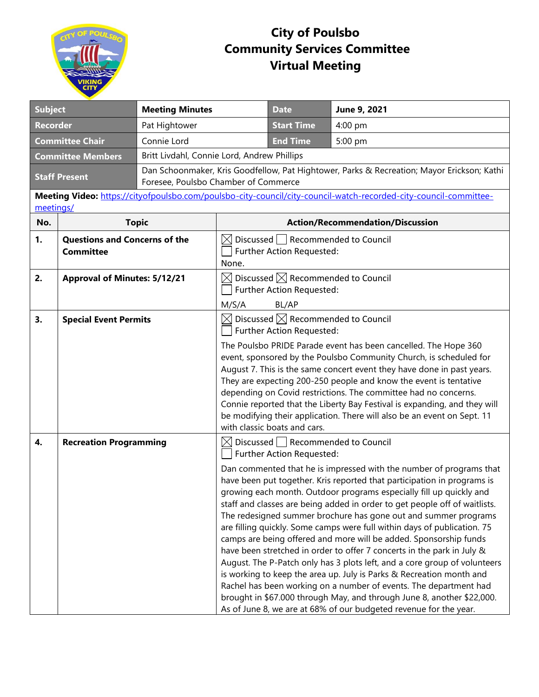

## **City of Poulsbo Community Services Committee Virtual Meeting**

| <b>Subject</b>                                                                                                                 |                                                          | <b>Meeting Minutes</b>                                                                                                             |                                                                                                         | <b>Date</b>                                               | June 9, 2021                                                                                                                                                                                                                                                                                                                                                                                                                                                                                                                                                                                                                                                                                                                                                                                                                                                                                                                                                                                                                                        |  |  |
|--------------------------------------------------------------------------------------------------------------------------------|----------------------------------------------------------|------------------------------------------------------------------------------------------------------------------------------------|---------------------------------------------------------------------------------------------------------|-----------------------------------------------------------|-----------------------------------------------------------------------------------------------------------------------------------------------------------------------------------------------------------------------------------------------------------------------------------------------------------------------------------------------------------------------------------------------------------------------------------------------------------------------------------------------------------------------------------------------------------------------------------------------------------------------------------------------------------------------------------------------------------------------------------------------------------------------------------------------------------------------------------------------------------------------------------------------------------------------------------------------------------------------------------------------------------------------------------------------------|--|--|
| <b>Recorder</b>                                                                                                                |                                                          | Pat Hightower                                                                                                                      |                                                                                                         |                                                           | 4:00 pm                                                                                                                                                                                                                                                                                                                                                                                                                                                                                                                                                                                                                                                                                                                                                                                                                                                                                                                                                                                                                                             |  |  |
| <b>Committee Chair</b><br>Connie Lord                                                                                          |                                                          |                                                                                                                                    | <b>End Time</b>                                                                                         | 5:00 pm                                                   |                                                                                                                                                                                                                                                                                                                                                                                                                                                                                                                                                                                                                                                                                                                                                                                                                                                                                                                                                                                                                                                     |  |  |
| <b>Committee Members</b>                                                                                                       |                                                          | Britt Livdahl, Connie Lord, Andrew Phillips                                                                                        |                                                                                                         |                                                           |                                                                                                                                                                                                                                                                                                                                                                                                                                                                                                                                                                                                                                                                                                                                                                                                                                                                                                                                                                                                                                                     |  |  |
| <b>Staff Present</b>                                                                                                           |                                                          | Dan Schoonmaker, Kris Goodfellow, Pat Hightower, Parks & Recreation; Mayor Erickson; Kathi<br>Foresee, Poulsbo Chamber of Commerce |                                                                                                         |                                                           |                                                                                                                                                                                                                                                                                                                                                                                                                                                                                                                                                                                                                                                                                                                                                                                                                                                                                                                                                                                                                                                     |  |  |
| Meeting Video: https://cityofpoulsbo.com/poulsbo-city-council/city-council-watch-recorded-city-council-committee-<br>meetings/ |                                                          |                                                                                                                                    |                                                                                                         |                                                           |                                                                                                                                                                                                                                                                                                                                                                                                                                                                                                                                                                                                                                                                                                                                                                                                                                                                                                                                                                                                                                                     |  |  |
| No.                                                                                                                            | <b>Topic</b>                                             |                                                                                                                                    | <b>Action/Recommendation/Discussion</b>                                                                 |                                                           |                                                                                                                                                                                                                                                                                                                                                                                                                                                                                                                                                                                                                                                                                                                                                                                                                                                                                                                                                                                                                                                     |  |  |
| 1.                                                                                                                             | <b>Questions and Concerns of the</b><br><b>Committee</b> |                                                                                                                                    | $\boxtimes$ Discussed Recommended to Council<br>Further Action Requested:<br>None.                      |                                                           |                                                                                                                                                                                                                                                                                                                                                                                                                                                                                                                                                                                                                                                                                                                                                                                                                                                                                                                                                                                                                                                     |  |  |
| 2.                                                                                                                             | <b>Approval of Minutes: 5/12/21</b>                      |                                                                                                                                    | $\boxtimes$ Discussed $\boxtimes$ Recommended to Council<br>Further Action Requested:<br>M/S/A<br>BL/AP |                                                           |                                                                                                                                                                                                                                                                                                                                                                                                                                                                                                                                                                                                                                                                                                                                                                                                                                                                                                                                                                                                                                                     |  |  |
| 3.                                                                                                                             | <b>Special Event Permits</b>                             |                                                                                                                                    |                                                                                                         | Further Action Requested:<br>with classic boats and cars. | $\boxtimes$ Discussed $\boxtimes$ Recommended to Council<br>The Poulsbo PRIDE Parade event has been cancelled. The Hope 360<br>event, sponsored by the Poulsbo Community Church, is scheduled for<br>August 7. This is the same concert event they have done in past years.<br>They are expecting 200-250 people and know the event is tentative<br>depending on Covid restrictions. The committee had no concerns.<br>Connie reported that the Liberty Bay Festival is expanding, and they will<br>be modifying their application. There will also be an event on Sept. 11                                                                                                                                                                                                                                                                                                                                                                                                                                                                         |  |  |
| 4.                                                                                                                             | <b>Recreation Programming</b>                            |                                                                                                                                    |                                                                                                         | Further Action Requested:                                 | $\boxtimes$ Discussed $\overline{\phantom{a}}$ Recommended to Council<br>Dan commented that he is impressed with the number of programs that<br>have been put together. Kris reported that participation in programs is<br>growing each month. Outdoor programs especially fill up quickly and<br>staff and classes are being added in order to get people off of waitlists.<br>The redesigned summer brochure has gone out and summer programs<br>are filling quickly. Some camps were full within days of publication. 75<br>camps are being offered and more will be added. Sponsorship funds<br>have been stretched in order to offer 7 concerts in the park in July &<br>August. The P-Patch only has 3 plots left, and a core group of volunteers<br>is working to keep the area up. July is Parks & Recreation month and<br>Rachel has been working on a number of events. The department had<br>brought in \$67.000 through May, and through June 8, another \$22,000.<br>As of June 8, we are at 68% of our budgeted revenue for the year. |  |  |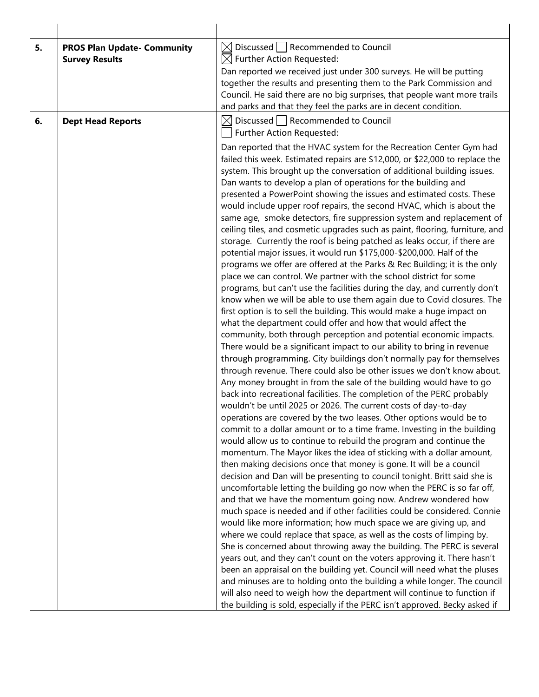| 5. | <b>PROS Plan Update- Community</b><br><b>Survey Results</b> | $\boxtimes$ Discussed $\Box$ Recommended to Council<br>$\boxtimes$ Further Action Requested:<br>Dan reported we received just under 300 surveys. He will be putting<br>together the results and presenting them to the Park Commission and<br>Council. He said there are no big surprises, that people want more trails<br>and parks and that they feel the parks are in decent condition.                                                                                                                                                                                                                                                                                                                                                                                                                                                                                                                                                                                                                                                                                                                                                                                                                                                                                                                                                                                                                                                                                                                                                                                                                                                                                                                                                                                                                                                                                                                                                                                                                                                                                                                                                                                                                                                                                                               |
|----|-------------------------------------------------------------|----------------------------------------------------------------------------------------------------------------------------------------------------------------------------------------------------------------------------------------------------------------------------------------------------------------------------------------------------------------------------------------------------------------------------------------------------------------------------------------------------------------------------------------------------------------------------------------------------------------------------------------------------------------------------------------------------------------------------------------------------------------------------------------------------------------------------------------------------------------------------------------------------------------------------------------------------------------------------------------------------------------------------------------------------------------------------------------------------------------------------------------------------------------------------------------------------------------------------------------------------------------------------------------------------------------------------------------------------------------------------------------------------------------------------------------------------------------------------------------------------------------------------------------------------------------------------------------------------------------------------------------------------------------------------------------------------------------------------------------------------------------------------------------------------------------------------------------------------------------------------------------------------------------------------------------------------------------------------------------------------------------------------------------------------------------------------------------------------------------------------------------------------------------------------------------------------------------------------------------------------------------------------------------------------------|
| 6. | <b>Dept Head Reports</b>                                    | Discussed   Recommended to Council<br>$\boxtimes$                                                                                                                                                                                                                                                                                                                                                                                                                                                                                                                                                                                                                                                                                                                                                                                                                                                                                                                                                                                                                                                                                                                                                                                                                                                                                                                                                                                                                                                                                                                                                                                                                                                                                                                                                                                                                                                                                                                                                                                                                                                                                                                                                                                                                                                        |
|    |                                                             | Further Action Requested:<br>Dan reported that the HVAC system for the Recreation Center Gym had<br>failed this week. Estimated repairs are \$12,000, or \$22,000 to replace the<br>system. This brought up the conversation of additional building issues.<br>Dan wants to develop a plan of operations for the building and<br>presented a PowerPoint showing the issues and estimated costs. These<br>would include upper roof repairs, the second HVAC, which is about the<br>same age, smoke detectors, fire suppression system and replacement of<br>ceiling tiles, and cosmetic upgrades such as paint, flooring, furniture, and<br>storage. Currently the roof is being patched as leaks occur, if there are<br>potential major issues, it would run \$175,000-\$200,000. Half of the<br>programs we offer are offered at the Parks & Rec Building; it is the only<br>place we can control. We partner with the school district for some<br>programs, but can't use the facilities during the day, and currently don't<br>know when we will be able to use them again due to Covid closures. The<br>first option is to sell the building. This would make a huge impact on<br>what the department could offer and how that would affect the<br>community, both through perception and potential economic impacts.<br>There would be a significant impact to our ability to bring in revenue<br>through programming. City buildings don't normally pay for themselves<br>through revenue. There could also be other issues we don't know about.<br>Any money brought in from the sale of the building would have to go<br>back into recreational facilities. The completion of the PERC probably<br>wouldn't be until 2025 or 2026. The current costs of day-to-day<br>operations are covered by the two leases. Other options would be to<br>commit to a dollar amount or to a time frame. Investing in the building<br>would allow us to continue to rebuild the program and continue the<br>momentum. The Mayor likes the idea of sticking with a dollar amount,<br>then making decisions once that money is gone. It will be a council<br>decision and Dan will be presenting to council tonight. Britt said she is<br>uncomfortable letting the building go now when the PERC is so far off, |
|    |                                                             | and that we have the momentum going now. Andrew wondered how<br>much space is needed and if other facilities could be considered. Connie<br>would like more information; how much space we are giving up, and                                                                                                                                                                                                                                                                                                                                                                                                                                                                                                                                                                                                                                                                                                                                                                                                                                                                                                                                                                                                                                                                                                                                                                                                                                                                                                                                                                                                                                                                                                                                                                                                                                                                                                                                                                                                                                                                                                                                                                                                                                                                                            |
|    |                                                             | where we could replace that space, as well as the costs of limping by.<br>She is concerned about throwing away the building. The PERC is several                                                                                                                                                                                                                                                                                                                                                                                                                                                                                                                                                                                                                                                                                                                                                                                                                                                                                                                                                                                                                                                                                                                                                                                                                                                                                                                                                                                                                                                                                                                                                                                                                                                                                                                                                                                                                                                                                                                                                                                                                                                                                                                                                         |
|    |                                                             | years out, and they can't count on the voters approving it. There hasn't<br>been an appraisal on the building yet. Council will need what the pluses<br>and minuses are to holding onto the building a while longer. The council<br>will also need to weigh how the department will continue to function if<br>the building is sold, especially if the PERC isn't approved. Becky asked if                                                                                                                                                                                                                                                                                                                                                                                                                                                                                                                                                                                                                                                                                                                                                                                                                                                                                                                                                                                                                                                                                                                                                                                                                                                                                                                                                                                                                                                                                                                                                                                                                                                                                                                                                                                                                                                                                                               |